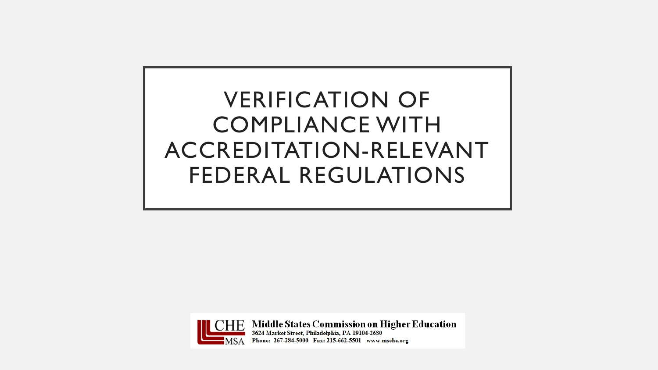# VERIFICATION OF COMPLIANCE WITH ACCREDITATION-RELEVANT FEDERAL REGULATIONS



 $\overline{\text{HE}}$  Middle States Commission on Higher Education 3624 Market Street, Philadelphia, PA 19104-2680 Phone: 267-284-5000 Fax: 215-662-5501 www.msche.org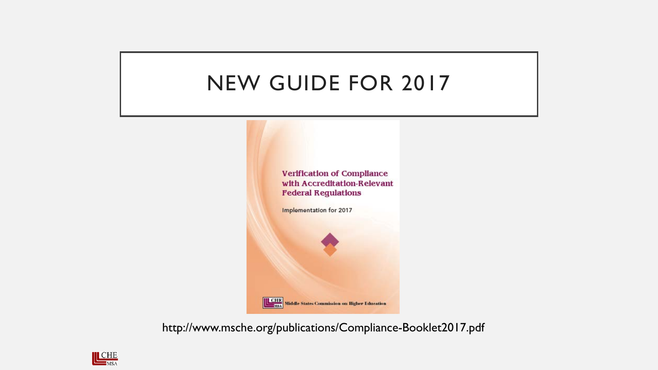## NEW GUIDE FOR 2017



http://www.msche.org/publications/Compliance-Booklet2017.pdf

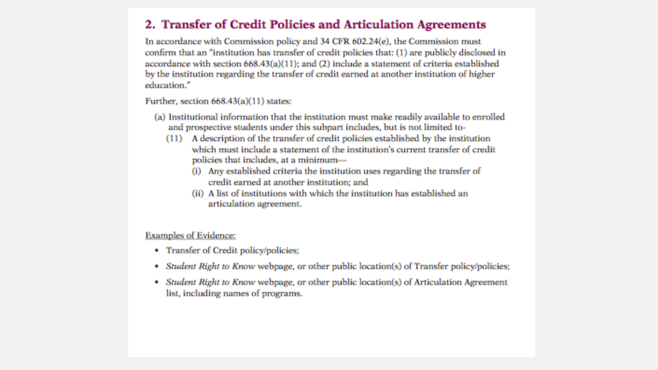### 2. Transfer of Credit Policies and Articulation Agreements

In accordance with Commission policy and 34 CFR 602.24(e), the Commission must confirm that an "institution has transfer of credit policies that: (1) are publicly disclosed in accordance with section 668.43(a)(11); and (2) include a statement of criteria established by the institution regarding the transfer of credit earned at another institution of higher education."

Further, section 668.43(a)(11) states:

- (a) Institutional information that the institution must make readily available to enrolled and prospective students under this subpart includes, but is not limited to-
	- (11) A description of the transfer of credit policies established by the institution which must include a statement of the institution's current transfer of credit policies that includes, at a minimum-
		- (i) Any established criteria the institution uses regarding the transfer of credit earned at another institution; and
		- (ii) A list of institutions with which the institution has established an articulation agreement.

#### **Examples of Evidence:**

- Transfer of Credit policy/policies;
- Student Right to Know webpage, or other public location(s) of Transfer policy/policies; m
- Student Right to Know webpage, or other public location(s) of Articulation Agreement ÷ list, including names of programs.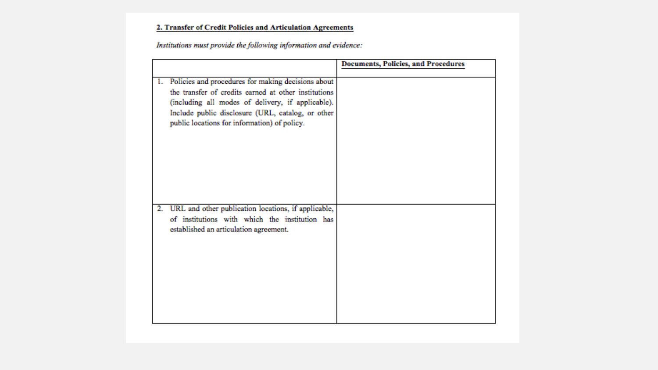#### 2. Transfer of Credit Policies and Articulation Agreements

Institutions must provide the following information and evidence:

|    |                                                                                                                                                                                                                                                                      | <b>Documents, Policies, and Procedures</b> |
|----|----------------------------------------------------------------------------------------------------------------------------------------------------------------------------------------------------------------------------------------------------------------------|--------------------------------------------|
| 1. | Policies and procedures for making decisions about<br>the transfer of credits earned at other institutions<br>(including all modes of delivery, if applicable).<br>Include public disclosure (URL, catalog, or other<br>public locations for information) of policy. |                                            |
| 2. | URL and other publication locations, if applicable,<br>of institutions with which the institution has<br>established an articulation agreement.                                                                                                                      |                                            |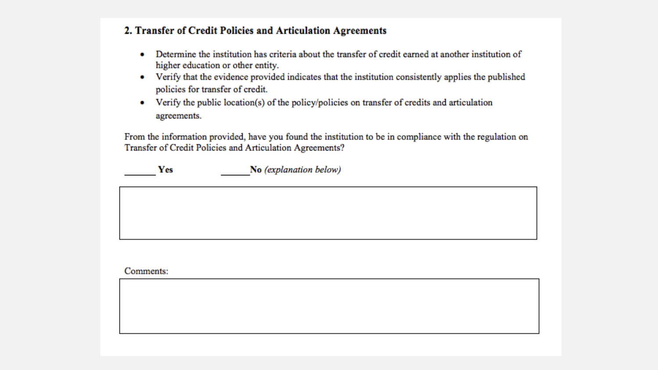#### 2. Transfer of Credit Policies and Articulation Agreements

- Determine the institution has criteria about the transfer of credit earned at another institution of higher education or other entity.
- Verify that the evidence provided indicates that the institution consistently applies the published policies for transfer of credit.
- Verify the public location(s) of the policy/policies on transfer of credits and articulation agreements.

From the information provided, have you found the institution to be in compliance with the regulation on Transfer of Credit Policies and Articulation Agreements?

No (explanation below) **Yes** 

Comments: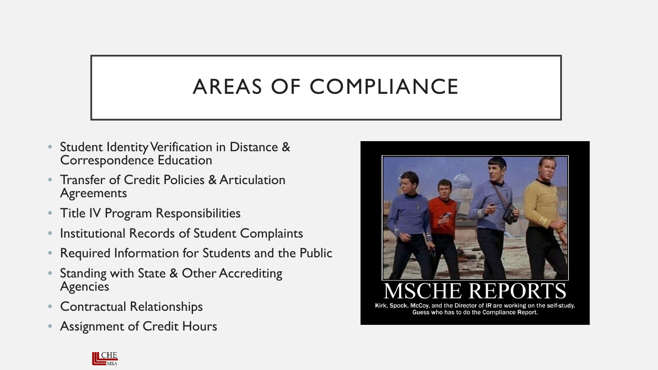# AREAS OF COMPLIANCE

- Student Identity Verification in Distance & Correspondence Education
- Transfer of Credit Policies & Articulation **Agreements**
- Title IV Program Responsibilities
- Institutional Records of Student Complaints
- Required Information for Students and the Public
- Standing with State & Other Accrediting Agencies
- Contractual Relationships
- Assignment of Credit Hours



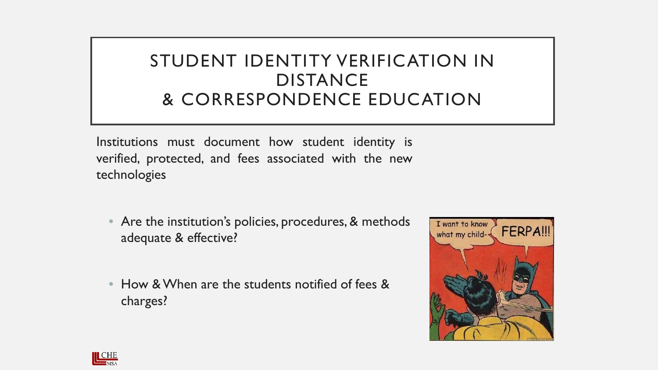### STUDENT IDENTITY VERIFICATION IN DISTANCE & CORRESPONDENCE EDUCATION

Institutions must document how student identity is verified, protected, and fees associated with the new technologies

- Are the institution's policies, procedures, & methods adequate & effective?
- How & When are the students notified of fees & charges?



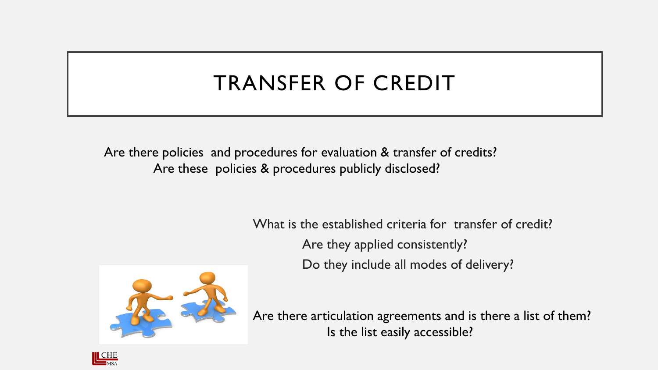# TRANSFER OF CREDIT

Are there policies and procedures for evaluation & transfer of credits? Are these policies & procedures publicly disclosed?

What is the established criteria for transfer of credit?

Are they applied consistently?

Do they include all modes of delivery?



Are there articulation agreements and is there a list of them? Is the list easily accessible?

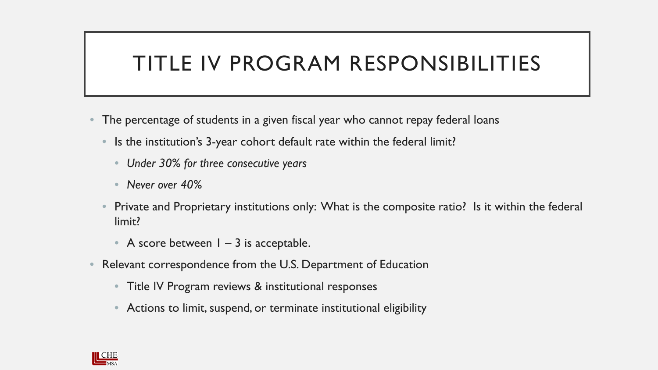## TITLE IV PROGRAM RESPONSIBILITIES

- The percentage of students in a given fiscal year who cannot repay federal loans
	- Is the institution's 3-year cohort default rate within the federal limit?
		- *Under 30% for three consecutive years*
		- *Never over 40%*
	- Private and Proprietary institutions only: What is the composite ratio? Is it within the federal limit?
		- A score between  $1 3$  is acceptable.
- Relevant correspondence from the U.S. Department of Education
	- Title IV Program reviews & institutional responses
	- Actions to limit, suspend, or terminate institutional eligibility

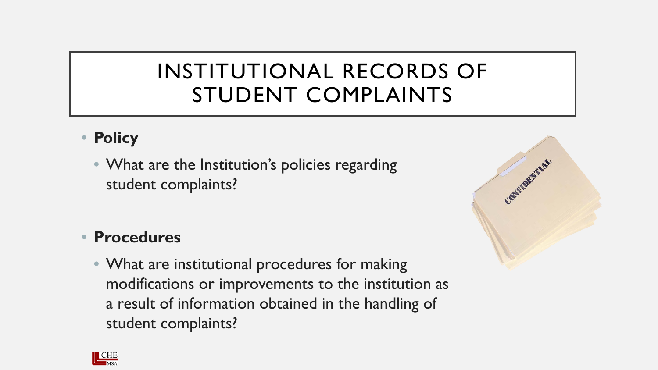## INSTITUTIONAL RECORDS OF STUDENT COMPLAINTS

### • **Policy**

• What are the Institution's policies regarding student complaints?

### • **Procedures**

• What are institutional procedures for making modifications or improvements to the institution as a result of information obtained in the handling of student complaints?



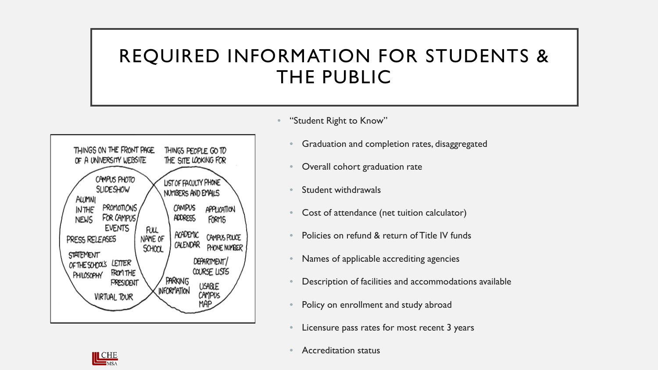## REQUIRED INFORMATION FOR STUDENTS & THE PUBLIC



"Student Right to Know"

- Graduation and completion rates, disaggregated
- Overall cohort graduation rate
- Student withdrawals
- Cost of attendance (net tuition calculator)
- Policies on refund & return of Title IV funds
- Names of applicable accrediting agencies
- Description of facilities and accommodations available
- Policy on enrollment and study abroad
- Licensure pass rates for most recent 3 years



• Accreditation status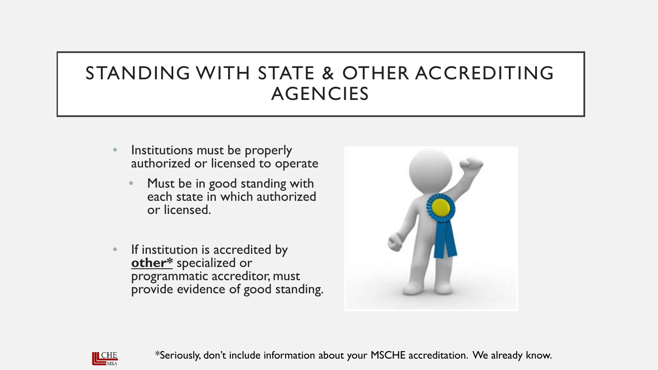## STANDING WITH STATE & OTHER ACCREDITING AGENCIES

- Institutions must be properly authorized or licensed to operate
	- Must be in good standing with each state in which authorized or licensed.
- **•** If institution is accredited by **other\*** specialized or programmatic accreditor, must provide evidence of good standing.





\*Seriously, don't include information about your MSCHE accreditation. We already know.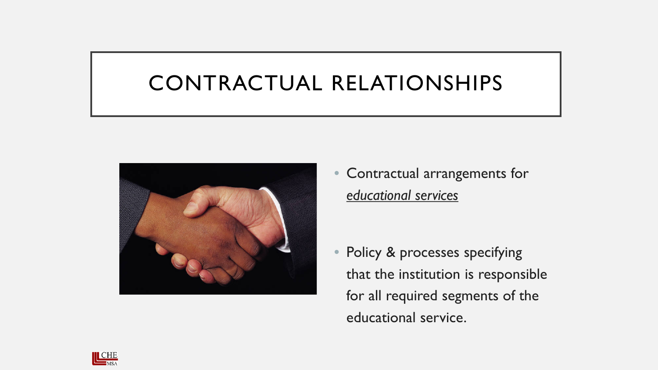## CONTRACTUAL RELATIONSHIPS



• Contractual arrangements for *educational services*

• Policy & processes specifying that the institution is responsible for all required segments of the educational service.

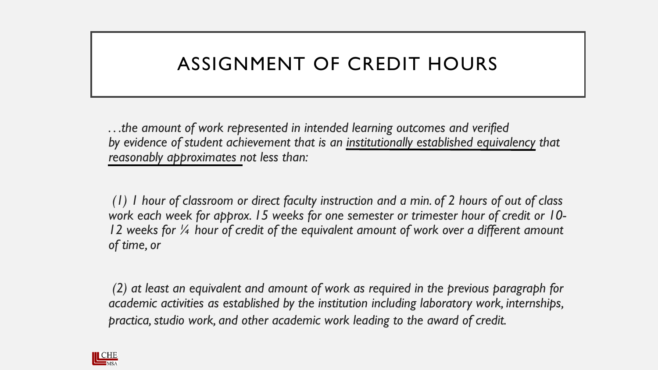### ASSIGNMENT OF CREDIT HOURS

*. . .the amount of work represented in intended learning outcomes and verified by evidence of student achievement that is an institutionally established equivalency that reasonably approximates not less than:*

*(1) 1 hour of classroom or direct faculty instruction and a min. of 2 hours of out of class work each week for approx. 15 weeks for one semester or trimester hour of credit or 10- 12 weeks for ¼ hour of credit of the equivalent amount of work over a different amount of time, or*

*(2) at least an equivalent and amount of work as required in the previous paragraph for academic activities as established by the institution including laboratory work, internships, practica, studio work, and other academic work leading to the award of credit.*

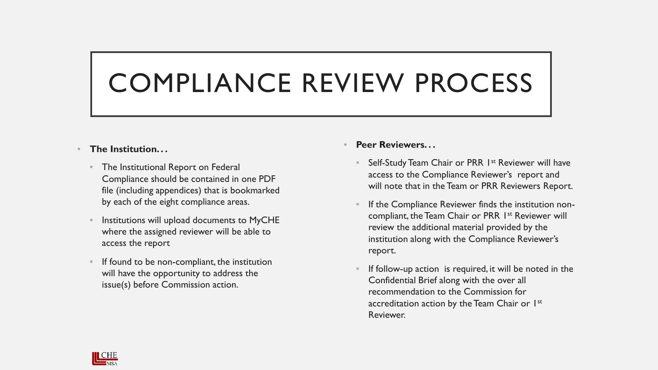# COMPLIANCE REVIEW PROCESS

#### • **The Institution. . .**

- The Institutional Report on Federal Compliance should be contained in one PDF file (including appendices) that is bookmarked by each of the eight compliance areas.
- Institutions will upload documents to MyCHE where the assigned reviewer will be able to access the report
- If found to be non-compliant, the institution will have the opportunity to address the issue(s) before Commission action.

#### • **Peer Reviewers. . .**

- Self-Study Team Chair or PRR 1<sup>st</sup> Reviewer will have access to the Compliance Reviewer's report and will note that in the Team or PRR Reviewers Report.
- If the Compliance Reviewer finds the institution noncompliant, the Team Chair or PRR 1<sup>st</sup> Reviewer will review the additional material provided by the institution along with the Compliance Reviewer's report.
- If follow-up action is required, it will be noted in the Confidential Brief along with the over all recommendation to the Commission for accreditation action by the Team Chair or 1st Reviewer.

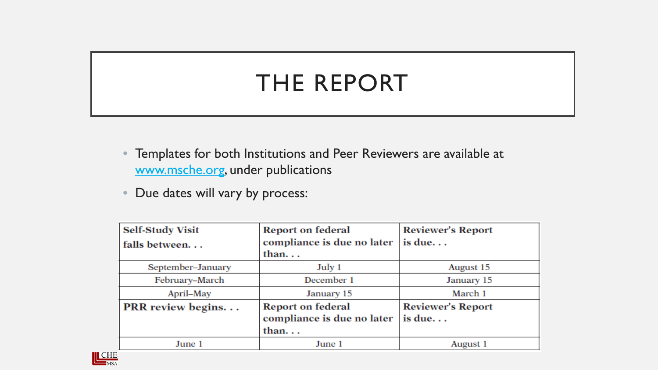# THE REPORT

- Templates for both Institutions and Peer Reviewers are available at [www.msche.org,](http://www.msche.org/) under publications
- Due dates will vary by process:

| <b>Self-Study Visit</b>  | <b>Report on federal</b>   | <b>Reviewer's Report</b> |
|--------------------------|----------------------------|--------------------------|
| falls between            | compliance is due no later | is due                   |
|                          | than                       |                          |
| September-January        | July 1                     | August 15                |
| February-March           | December 1                 | January 15               |
| April–May                | January 15                 | March 1                  |
| <b>PRR</b> review begins | <b>Report on federal</b>   | <b>Reviewer's Report</b> |
|                          | compliance is due no later | is due                   |
|                          | than                       |                          |
| June 1                   | June 1                     | August 1                 |